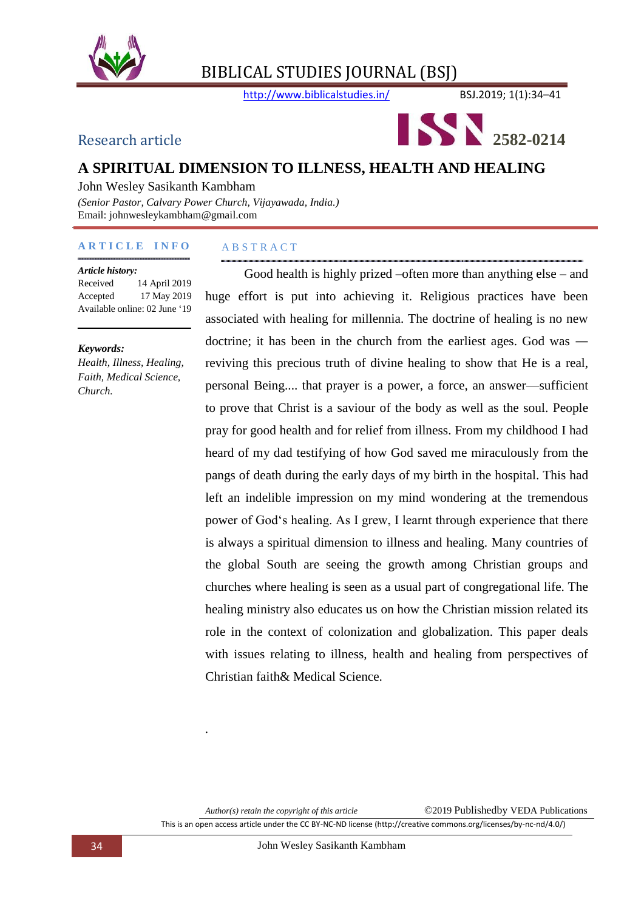

http://www.biblicalstudies.in/ BSJ.2019; 1(1):34–41



# **A SPIRITUAL DIMENSION TO ILLNESS, HEALTH AND HEALING**

John Wesley Sasikanth Kambham

*(Senior Pastor, Calvary Power Church, Vijayawada, India.)* Email: johnwesleykambham@gmail.com

#### **A R T I C L E I N F O**

#### *Article history:*

Received 14 April 2019 Accepted 17 May 2019 Available online: 02 June '19

#### *Keywords:*

*Health, Illness, Healing, Faith, Medical Science, Church.*

#### A B S T R A C T

Good health is highly prized –often more than anything else – and huge effort is put into achieving it. Religious practices have been associated with healing for millennia. The doctrine of healing is no new doctrine; it has been in the church from the earliest ages. God was ― reviving this precious truth of divine healing to show that He is a real, personal Being.... that prayer is a power, a force, an answer—sufficient to prove that Christ is a saviour of the body as well as the soul. People pray for good health and for relief from illness. From my childhood I had heard of my dad testifying of how God saved me miraculously from the pangs of death during the early days of my birth in the hospital. This had left an indelible impression on my mind wondering at the tremendous power of God's healing. As I grew, I learnt through experience that there is always a spiritual dimension to illness and healing. Many countries of the global South are seeing the growth among Christian groups and churches where healing is seen as a usual part of congregational life. The healing ministry also educates us on how the Christian mission related its role in the context of colonization and globalization. This paper deals with issues relating to illness, health and healing from perspectives of Christian faith& Medical Science.

*.*

*Author(s) retain the copyright of this article* ©2019 Publishedby VEDA Publications

This is an open access article under the CC BY-NC-ND license (http://creative commons.org/licenses/by-nc-nd/4.0/)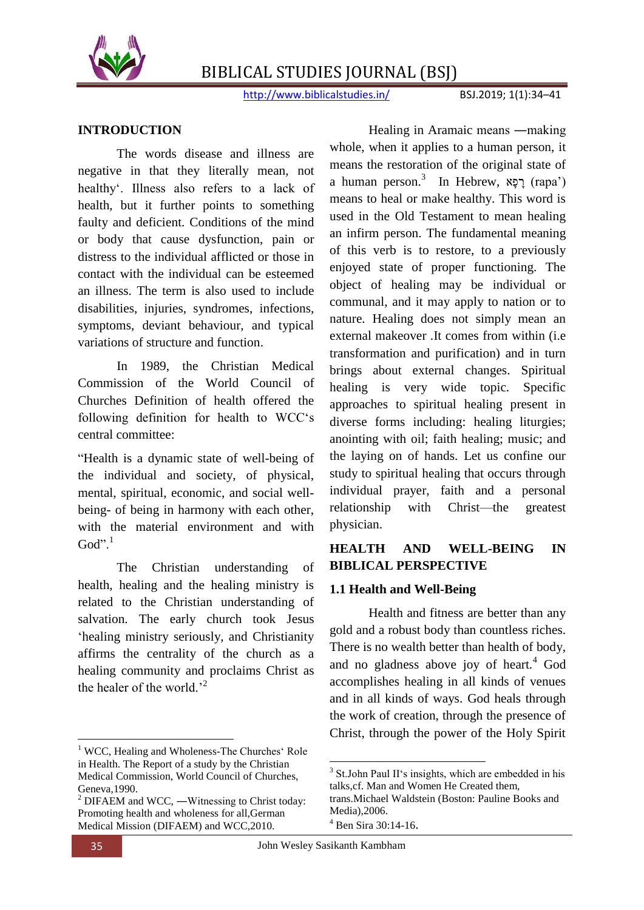

http://www.biblicalstudies.in/ BSJ.2019; 1(1):34-41

## **INTRODUCTION**

The words disease and illness are negative in that they literally mean, not healthy'. Illness also refers to a lack of health, but it further points to something faulty and deficient. Conditions of the mind or body that cause dysfunction, pain or distress to the individual afflicted or those in contact with the individual can be esteemed an illness. The term is also used to include disabilities, injuries, syndromes, infections, symptoms, deviant behaviour, and typical variations of structure and function.

In 1989, the Christian Medical Commission of the World Council of Churches Definition of health offered the following definition for health to WCC's central committee:

"Health is a dynamic state of well-being of the individual and society, of physical, mental, spiritual, economic, and social wellbeing- of being in harmony with each other, with the material environment and with God". $1$ 

The Christian understanding of health, healing and the healing ministry is related to the Christian understanding of salvation. The early church took Jesus ‗healing ministry seriously, and Christianity affirms the centrality of the church as a healing community and proclaims Christ as the healer of the world.'<sup>2</sup>

Healing in Aramaic means ―making whole, when it applies to a human person, it means the restoration of the original state of a human person.<sup>3</sup> In Hebrew, רָפָא (rapa') means to heal or make healthy. This word is used in the Old Testament to mean healing an infirm person. The fundamental meaning of this verb is to restore, to a previously enjoyed state of proper functioning. The object of healing may be individual or communal, and it may apply to nation or to nature. Healing does not simply mean an external makeover .It comes from within (i.e transformation and purification) and in turn brings about external changes. Spiritual healing is very wide topic. Specific approaches to spiritual healing present in diverse forms including: healing liturgies; anointing with oil; faith healing; music; and the laying on of hands. Let us confine our study to spiritual healing that occurs through individual prayer, faith and a personal relationship with Christ—the greatest physician.

## **HEALTH AND WELL-BEING IN BIBLICAL PERSPECTIVE**

## **1.1 Health and Well-Being**

Health and fitness are better than any gold and a robust body than countless riches. There is no wealth better than health of body, and no gladness above joy of heart. $4$  God accomplishes healing in all kinds of venues and in all kinds of ways. God heals through the work of creation, through the presence of Christ, through the power of the Holy Spirit

1

**<sup>.</sup>** <sup>1</sup> WCC, Healing and Wholeness-The Churches' Role in Health. The Report of a study by the Christian Medical Commission, World Council of Churches, Geneva,1990.

<sup>&</sup>lt;sup>2</sup> DIFAEM and WCC, —Witnessing to Christ today: Promoting health and wholeness for all,German Medical Mission (DIFAEM) and WCC,2010.

<sup>&</sup>lt;sup>3</sup> St.John Paul II's insights, which are embedded in his talks,cf. Man and Women He Created them,

trans.Michael Waldstein (Boston: Pauline Books and Media),2006.

<sup>4</sup> Ben Sira 30:14-16.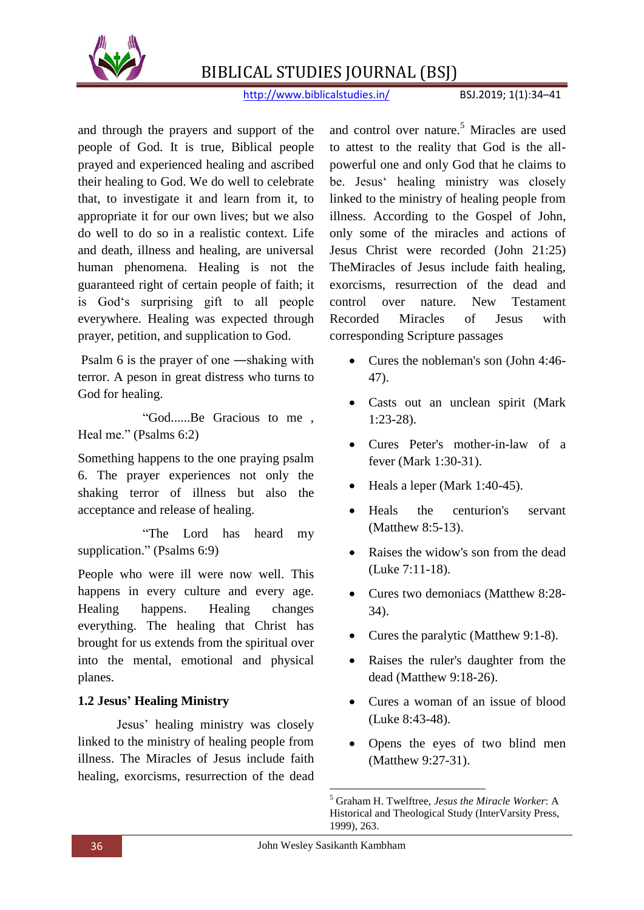

http://www.biblicalstudies.in/ BSJ.2019; 1(1):34-41

and through the prayers and support of the people of God. It is true, Biblical people prayed and experienced healing and ascribed their healing to God. We do well to celebrate that, to investigate it and learn from it, to appropriate it for our own lives; but we also do well to do so in a realistic context. Life and death, illness and healing, are universal human phenomena. Healing is not the guaranteed right of certain people of faith; it is God's surprising gift to all people everywhere. Healing was expected through prayer, petition, and supplication to God.

Psalm 6 is the prayer of one ―shaking with terror. A peson in great distress who turns to God for healing.

"God......Be Gracious to me, Heal me." (Psalms 6:2)

Something happens to the one praying psalm 6. The prayer experiences not only the shaking terror of illness but also the acceptance and release of healing.

 ―The Lord has heard my supplication." (Psalms 6:9)

People who were ill were now well. This happens in every culture and every age. Healing happens. Healing changes everything. The healing that Christ has brought for us extends from the spiritual over into the mental, emotional and physical planes.

# **1.2 Jesus' Healing Ministry**

Jesus' healing ministry was closely linked to the ministry of healing people from illness. The Miracles of Jesus include faith healing, exorcisms, resurrection of the dead

and control over nature.<sup>5</sup> Miracles are used to attest to the reality that God is the allpowerful one and only God that he claims to be. Jesus' healing ministry was closely linked to the ministry of healing people from illness. According to the Gospel of John, only some of the miracles and actions of Jesus Christ were recorded (John 21:25) TheMiracles of Jesus include faith healing, exorcisms, resurrection of the dead and control over nature. New Testament Recorded Miracles of Jesus with corresponding Scripture passages

- Cures the nobleman's son (John 4:46-47).
- Casts out an unclean spirit (Mark 1:23-28).
- Cures Peter's mother-in-law of a fever (Mark 1:30-31).
- Heals a leper (Mark 1:40-45).
- Heals the centurion's servant (Matthew 8:5-13).
- Raises the widow's son from the dead (Luke 7:11-18).
- Cures two demoniacs (Matthew 8:28-34).
- Cures the paralytic (Matthew 9:1-8).
- Raises the ruler's daughter from the dead (Matthew 9:18-26).
- Cures a woman of an issue of blood (Luke 8:43-48).
- Opens the eyes of two blind men (Matthew 9:27-31).

 $\overline{a}$ <sup>5</sup> Graham H. Twelftree, *Jesus the Miracle Worker*: A Historical and Theological Study (InterVarsity Press, 1999), 263.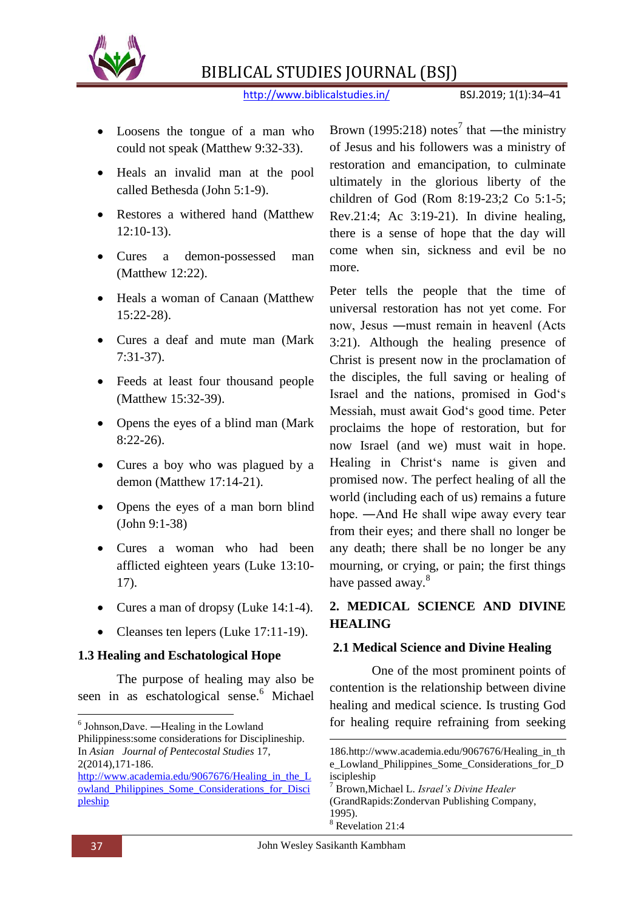

http://www.biblicalstudies.in/ BSJ.2019; 1(1):34-41

- Loosens the tongue of a man who could not speak (Matthew 9:32-33).
- Heals an invalid man at the pool called Bethesda (John 5:1-9).
- Restores a withered hand (Matthew  $12:10-13$ .
- Cures a demon-possessed man (Matthew 12:22).
- Heals a woman of Canaan (Matthew 15:22-28).
- Cures a deaf and mute man (Mark) 7:31-37).
- Feeds at least four thousand people (Matthew 15:32-39).
- Opens the eyes of a blind man (Mark 8:22-26).
- Cures a boy who was plagued by a demon (Matthew 17:14-21).
- Opens the eyes of a man born blind (John 9:1-38)
- Cures a woman who had been afflicted eighteen years (Luke 13:10- 17).
- Cures a man of dropsy (Luke 14:1-4).
- Cleanses ten lepers (Luke 17:11-19).

## **1.3 Healing and Eschatological Hope**

The purpose of healing may also be seen in as eschatological sense.<sup>6</sup> Michael

Brown (1995:218) notes<sup>7</sup> that —the ministry of Jesus and his followers was a ministry of restoration and emancipation, to culminate ultimately in the glorious liberty of the children of God (Rom 8:19-23;2 Co 5:1-5; Rev.21:4; Ac 3:19-21). In divine healing, there is a sense of hope that the day will come when sin, sickness and evil be no more.

Peter tells the people that the time of universal restoration has not yet come. For now, Jesus ―must remain in heaven‖ (Acts 3:21). Although the healing presence of Christ is present now in the proclamation of the disciples, the full saving or healing of Israel and the nations, promised in God's Messiah, must await God's good time. Peter proclaims the hope of restoration, but for now Israel (and we) must wait in hope. Healing in Christ's name is given and promised now. The perfect healing of all the world (including each of us) remains a future hope. —And He shall wipe away every tear from their eyes; and there shall no longer be any death; there shall be no longer be any mourning, or crying, or pain; the first things have passed away.<sup>8</sup>

# **2. MEDICAL SCIENCE AND DIVINE HEALING**

## **2.1 Medical Science and Divine Healing**

One of the most prominent points of contention is the relationship between divine healing and medical science. Is trusting God for healing require refraining from seeking

1

 $\overline{a}$ 

<sup>6</sup> Johnson,Dave. ―Healing in the Lowland Philippiness:some considerations for Disciplineship. In *Asian Journal of Pentecostal Studies* 17, 2(2014),171-186.

http://www.academia.edu/9067676/Healing in the L [owland\\_Philippines\\_Some\\_Considerations\\_for\\_Disci](http://www.academia.edu/9067676/Healing_in_the_Lowland_Philippines_Some_Considerations_for_Discipleship) [pleship](http://www.academia.edu/9067676/Healing_in_the_Lowland_Philippines_Some_Considerations_for_Discipleship)

<sup>186.</sup>http://www.academia.edu/9067676/Healing\_in\_th e\_Lowland\_Philippines\_Some\_Considerations\_for\_D iscipleship

<sup>7</sup> Brown,Michael L. *Israel's Divine Healer*

<sup>(</sup>GrandRapids:Zondervan Publishing Company, 1995).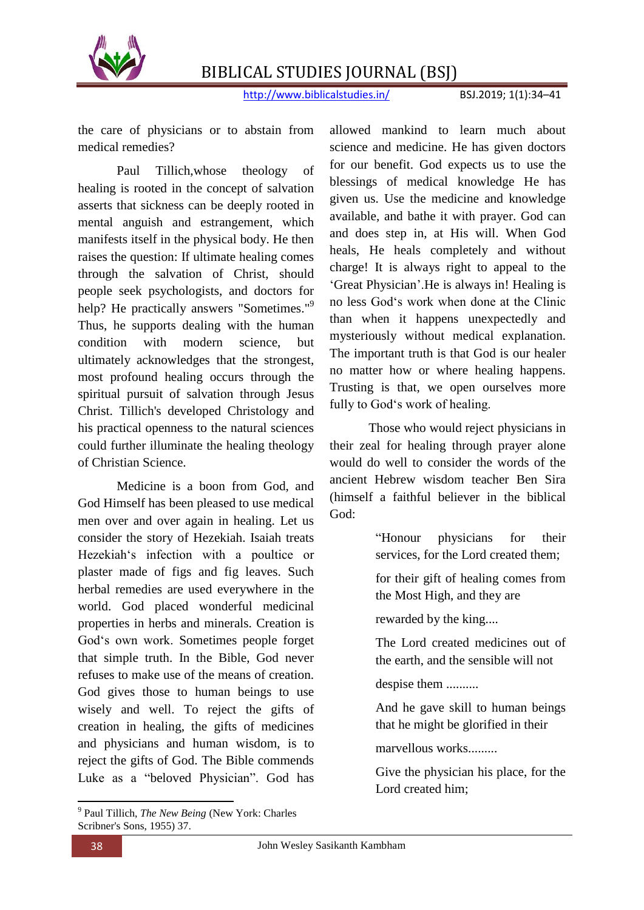

http://www.biblicalstudies.in/ BSJ.2019; 1(1):34–41

the care of physicians or to abstain from medical remedies?

Paul Tillich,whose theology of healing is rooted in the concept of salvation asserts that sickness can be deeply rooted in mental anguish and estrangement, which manifests itself in the physical body. He then raises the question: If ultimate healing comes through the salvation of Christ, should people seek psychologists, and doctors for help? He practically answers "Sometimes."<sup>9</sup> Thus, he supports dealing with the human condition with modern science, but ultimately acknowledges that the strongest, most profound healing occurs through the spiritual pursuit of salvation through Jesus Christ. Tillich's developed Christology and his practical openness to the natural sciences could further illuminate the healing theology of Christian Science.

Medicine is a boon from God, and God Himself has been pleased to use medical men over and over again in healing. Let us consider the story of Hezekiah. Isaiah treats Hezekiah's infection with a poultice or plaster made of figs and fig leaves. Such herbal remedies are used everywhere in the world. God placed wonderful medicinal properties in herbs and minerals. Creation is God's own work. Sometimes people forget that simple truth. In the Bible, God never refuses to make use of the means of creation. God gives those to human beings to use wisely and well. To reject the gifts of creation in healing, the gifts of medicines and physicians and human wisdom, is to reject the gifts of God. The Bible commends Luke as a "beloved Physician". God has

 9 Paul Tillich, *The New Being* (New York: Charles Scribner's Sons, 1955) 37.

allowed mankind to learn much about science and medicine. He has given doctors for our benefit. God expects us to use the blessings of medical knowledge He has given us. Use the medicine and knowledge available, and bathe it with prayer. God can and does step in, at His will. When God heals, He heals completely and without charge! It is always right to appeal to the ‗Great Physician'.He is always in! Healing is no less God‗s work when done at the Clinic than when it happens unexpectedly and mysteriously without medical explanation. The important truth is that God is our healer no matter how or where healing happens. Trusting is that, we open ourselves more fully to God's work of healing.

Those who would reject physicians in their zeal for healing through prayer alone would do well to consider the words of the ancient Hebrew wisdom teacher Ben Sira (himself a faithful believer in the biblical God:

> "Honour physicians for their services, for the Lord created them;

> for their gift of healing comes from the Most High, and they are

rewarded by the king....

The Lord created medicines out of the earth, and the sensible will not

despise them ..........

And he gave skill to human beings that he might be glorified in their

marvellous works.........

Give the physician his place, for the Lord created him;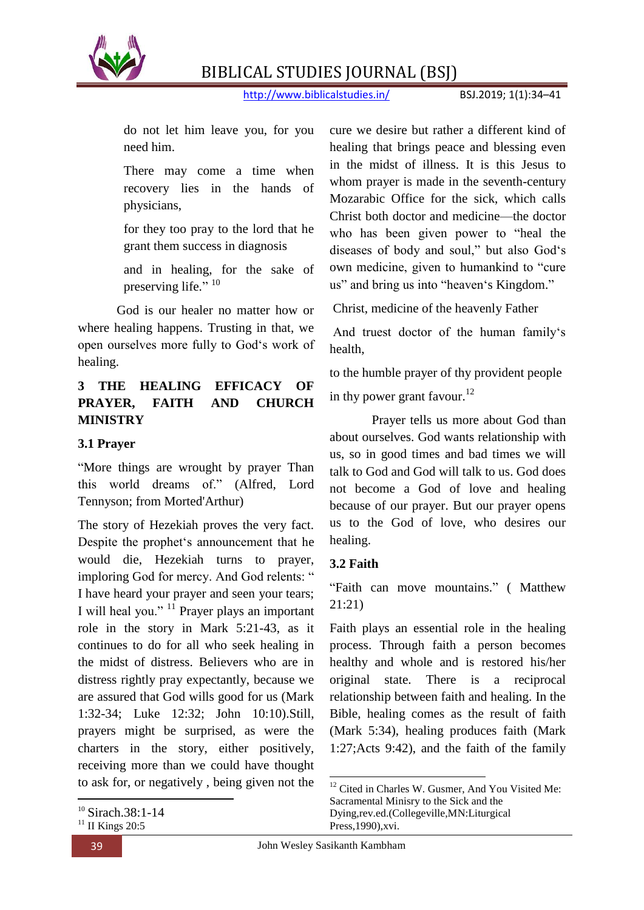

http://www.biblicalstudies.in/ BSJ.2019; 1(1):34–41

do not let him leave you, for you need him.

There may come a time when recovery lies in the hands of physicians,

for they too pray to the lord that he grant them success in diagnosis

and in healing, for the sake of preserving life." <sup>10</sup>

God is our healer no matter how or where healing happens. Trusting in that, we open ourselves more fully to God's work of healing.

## **3 THE HEALING EFFICACY OF PRAYER, FAITH AND CHURCH MINISTRY**

## **3.1 Prayer**

"More things are wrought by prayer Than this world dreams of." (Alfred, Lord Tennyson; from Morted'Arthur)

The story of Hezekiah proves the very fact. Despite the prophet's announcement that he would die, Hezekiah turns to prayer, imploring God for mercy. And God relents: " I have heard your prayer and seen your tears; I will heal you."  $11$  Prayer plays an important role in the story in Mark 5:21-43, as it continues to do for all who seek healing in the midst of distress. Believers who are in distress rightly pray expectantly, because we are assured that God wills good for us (Mark 1:32-34; Luke 12:32; John 10:10).Still, prayers might be surprised, as were the charters in the story, either positively, receiving more than we could have thought to ask for, or negatively , being given not the

**.** 

cure we desire but rather a different kind of healing that brings peace and blessing even in the midst of illness. It is this Jesus to whom prayer is made in the seventh-century Mozarabic Office for the sick, which calls Christ both doctor and medicine—the doctor who has been given power to "heal the diseases of body and soul," but also God's own medicine, given to humankind to "cure" us" and bring us into "heaven's Kingdom."

Christ, medicine of the heavenly Father

And truest doctor of the human family's health,

to the humble prayer of thy provident people in thy power grant favour.<sup>12</sup>

Prayer tells us more about God than about ourselves. God wants relationship with us, so in good times and bad times we will talk to God and God will talk to us. God does not become a God of love and healing because of our prayer. But our prayer opens us to the God of love, who desires our healing.

## **3.2 Faith**

"Faith can move mountains." (Matthew 21:21)

Faith plays an essential role in the healing process. Through faith a person becomes healthy and whole and is restored his/her original state. There is a reciprocal relationship between faith and healing. In the Bible, healing comes as the result of faith (Mark 5:34), healing produces faith (Mark 1:27;Acts 9:42), and the faith of the family

1

<sup>&</sup>lt;sup>10</sup> Sirach.38:1-14

 $11$  II Kings 20:5

 $12$  Cited in Charles W. Gusmer, And You Visited Me: Sacramental Minisry to the Sick and the Dying,rev.ed.(Collegeville,MN:Liturgical Press,1990),xvi.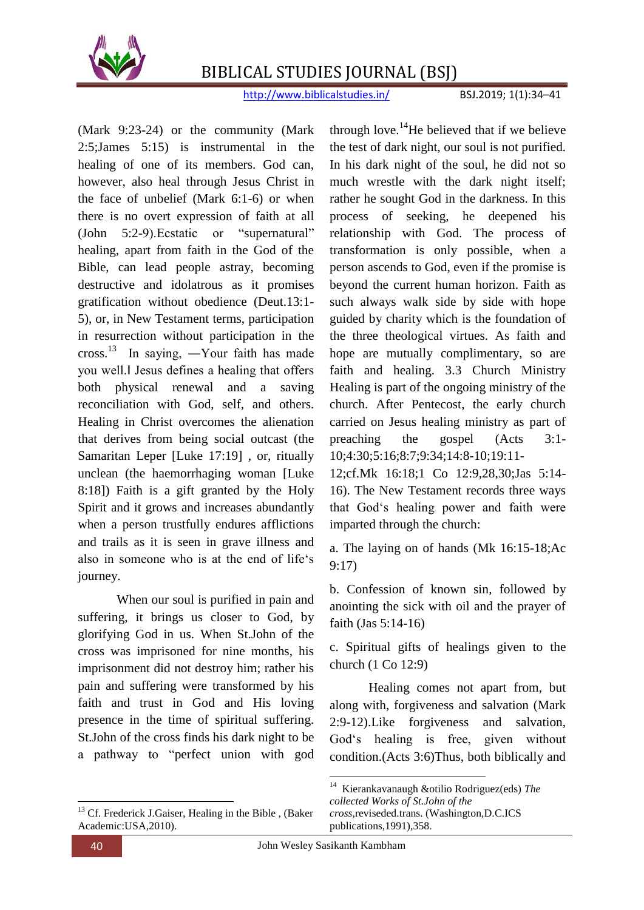

http://www.biblicalstudies.in/ BSJ.2019; 1(1):34–41

(Mark 9:23-24) or the community (Mark 2:5;James 5:15) is instrumental in the healing of one of its members. God can, however, also heal through Jesus Christ in the face of unbelief (Mark 6:1-6) or when there is no overt expression of faith at all  $(John \quad 5:2-9)$ . Ecstatic or "supernatural" healing, apart from faith in the God of the Bible, can lead people astray, becoming destructive and idolatrous as it promises gratification without obedience (Deut.13:1- 5), or, in New Testament terms, participation in resurrection without participation in the cross.<sup>13</sup> In saying, —Your faith has made you well.‖ Jesus defines a healing that offers both physical renewal and a saving reconciliation with God, self, and others. Healing in Christ overcomes the alienation that derives from being social outcast (the Samaritan Leper [Luke 17:19] , or, ritually unclean (the haemorrhaging woman [Luke 8:18]) Faith is a gift granted by the Holy Spirit and it grows and increases abundantly when a person trustfully endures afflictions and trails as it is seen in grave illness and also in someone who is at the end of life's journey.

When our soul is purified in pain and suffering, it brings us closer to God, by glorifying God in us. When St.John of the cross was imprisoned for nine months, his imprisonment did not destroy him; rather his pain and suffering were transformed by his faith and trust in God and His loving presence in the time of spiritual suffering. St.John of the cross finds his dark night to be a pathway to "perfect union with god

**.** <sup>13</sup> Cf. Frederick J.Gaiser, Healing in the Bible, (Baker Academic:USA,2010).

through love.<sup>14</sup>He believed that if we believe the test of dark night, our soul is not purified. In his dark night of the soul, he did not so much wrestle with the dark night itself; rather he sought God in the darkness. In this process of seeking, he deepened his relationship with God. The process of transformation is only possible, when a person ascends to God, even if the promise is beyond the current human horizon. Faith as such always walk side by side with hope guided by charity which is the foundation of the three theological virtues. As faith and hope are mutually complimentary, so are faith and healing. 3.3 Church Ministry Healing is part of the ongoing ministry of the church. After Pentecost, the early church carried on Jesus healing ministry as part of preaching the gospel (Acts 3:1- 10;4:30;5:16;8:7;9:34;14:8-10;19:11-

12;cf.Mk 16:18;1 Co 12:9,28,30;Jas 5:14- 16). The New Testament records three ways that God's healing power and faith were imparted through the church:

a. The laying on of hands (Mk 16:15-18;Ac 9:17)

b. Confession of known sin, followed by anointing the sick with oil and the prayer of faith (Jas 5:14-16)

c. Spiritual gifts of healings given to the church (1 Co 12:9)

Healing comes not apart from, but along with, forgiveness and salvation (Mark 2:9-12).Like forgiveness and salvation, God's healing is free, given without condition.(Acts 3:6)Thus, both biblically and

1

<sup>14</sup> Kierankavanaugh &otilio Rodriguez(eds) *The collected Works of St.John of the cross*,reviseded.trans. (Washington,D.C.ICS publications,1991),358.